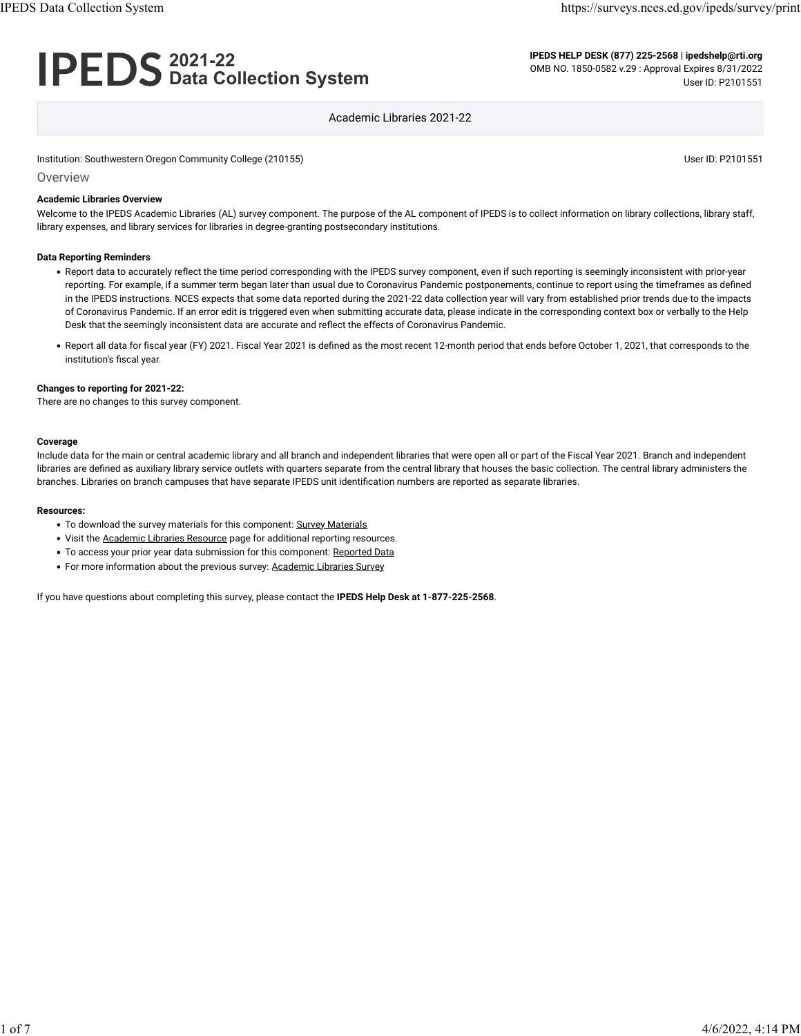# **2021-22 Data Collection System**

**IPEDS HELP DESK (877) 225-2568 | ipedshelp@rti.org** OMB NO. 1850-0582 v.29 : Approval Expires 8/31/2022 User ID: P2101551

### Academic Libraries 2021-22

Institution: Southwestern Oregon Community College (210155) Community College (210155)

**Overview** 

#### **Academic Libraries Overview**

Welcome to the IPEDS Academic Libraries (AL) survey component. The purpose of the AL component of IPEDS is to collect information on library collections, library staff, library expenses, and library services for libraries in degree-granting postsecondary institutions.

#### **Data Reporting Reminders**

- Report data to accurately reflect the time period corresponding with the IPEDS survey component, even if such reporting is seemingly inconsistent with prior-year reporting. For example, if a summer term began later than usual due to Coronavirus Pandemic postponements, continue to report using the timeframes as defined in the IPEDS instructions. NCES expects that some data reported during the 2021-22 data collection year will vary from established prior trends due to the impacts of Coronavirus Pandemic. If an error edit is triggered even when submitting accurate data, please indicate in the corresponding context box or verbally to the Help Desk that the seemingly inconsistent data are accurate and reflect the effects of Coronavirus Pandemic.
- Report all data for fiscal year (FY) 2021. Fiscal Year 2021 is defined as the most recent 12-month period that ends before October 1, 2021, that corresponds to the institution's fiscal year.

#### **Changes to reporting for 2021-22:**

There are no changes to this survey component.

#### **Coverage**

Include data for the main or central academic library and all branch and independent libraries that were open all or part of the Fiscal Year 2021. Branch and independent libraries are defined as auxiliary library service outlets with quarters separate from the central library that houses the basic collection. The central library administers the branches. Libraries on branch campuses that have separate IPEDS unit identification numbers are reported as separate libraries.

#### **Resources:**

- To download the survey materials for this component: [Survey Materials](https://surveys.nces.ed.gov/ipeds/public/survey-materials/index)
- Visit the [Academic Libraries Resource](https://nces.ed.gov/ipeds/report-your-data/resource-center-academic-libraries) page for additional reporting resources.
- To access your prior year data submission for this component: [Reported Data](javascript:openReportedData(210155, 15))
- For more information about the previous survey: [Academic Libraries Survey](https://nces.ed.gov/surveys/libraries/academic.asp)

If you have questions about completing this survey, please contact the **IPEDS Help Desk at 1-877-225-2568**.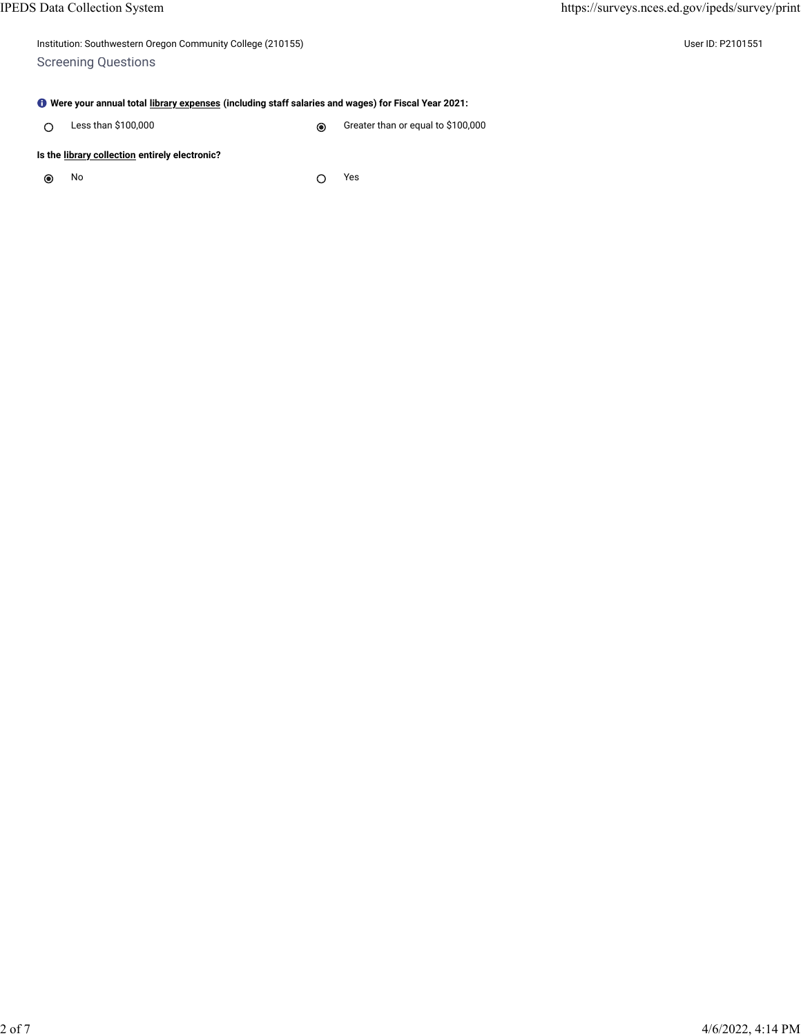| Institution: Southwestern Oregon Community College (210155) |  |
|-------------------------------------------------------------|--|
| <b>Screening Questions</b>                                  |  |

User ID: P2101551

## **Were your annual total [library expenses](javascript:openglossary(1040)) (including staff salaries and wages) for Fiscal Year 2021:**

Less than \$100,000 Creater than or equal to \$100,000  $\circ$ 

## **Is the [library collection](javascript:openglossary(932)) entirely electronic?**

 $\circledcirc$ No  $\bigcap$  Yes  $\bigcap$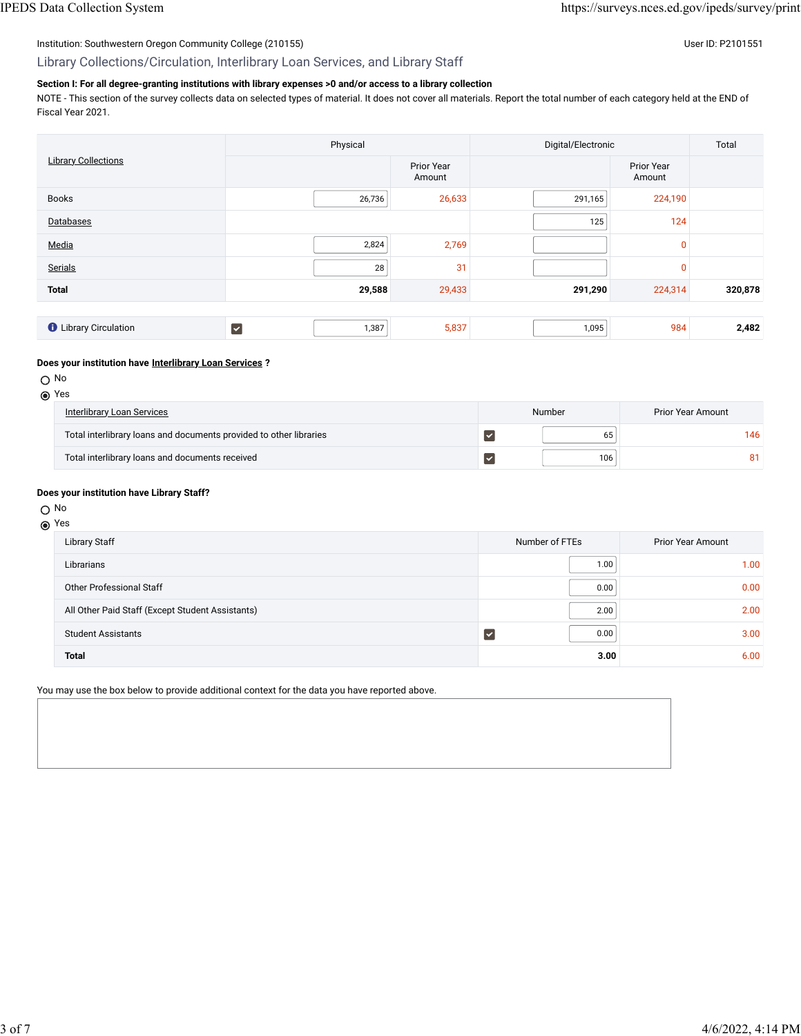## Institution: Southwestern Oregon Community College (210155) Contract the USE of Discovery of the USE of Discovery User ID: P2101551

Library Collections/Circulation, Interlibrary Loan Services, and Library Staff

#### **Section I: For all degree-granting institutions with library expenses >0 and/or access to a library collection**

NOTE - This section of the survey collects data on selected types of material. It does not cover all materials. Report the total number of each category held at the END of Fiscal Year 2021.

| <b>Library Collections</b>   | Physical    |                             | Digital/Electronic | Total                |         |
|------------------------------|-------------|-----------------------------|--------------------|----------------------|---------|
|                              |             | <b>Prior Year</b><br>Amount |                    | Prior Year<br>Amount |         |
| <b>Books</b>                 | 26,736      | 26,633                      | 291,165            | 224,190              |         |
| Databases                    |             |                             | 125                | 124                  |         |
| Media                        | 2,824       | 2,769                       |                    | $\mathbf{0}$         |         |
| Serials                      | 28          | 31                          |                    | $\mathbf{0}$         |         |
| <b>Total</b>                 | 29,588      | 29,433                      | 291,290            | 224,314              | 320,878 |
|                              |             |                             |                    |                      |         |
| <b>O</b> Library Circulation | ∣V<br>1,387 | 5,837                       | 1,095              | 984                  | 2,482   |

#### **Does your institution have [Interlibrary Loan Services](javascript:openglossary(1025)) ?**

No and the contract of the contract of the contract of the contract of the contract of the contract of the contract of the contract of the contract of the contract of the contract of the contract of the contract of the con

| <b>Interlibrary Loan Services</b>                                  | Number | <b>Prior Year Amount</b> |
|--------------------------------------------------------------------|--------|--------------------------|
| Total interlibrary loans and documents provided to other libraries | 65     | 146                      |
| Total interlibrary loans and documents received                    | 106    | 81                       |

#### **Does your institution have Library Staff?**

#### No and the contract of the contract of the contract of the contract of the contract of the contract of the contract of the contract of the contract of the contract of the contract of the contract of the contract of the con

#### Yes

| <b>Library Staff</b>                             | Number of FTEs | <b>Prior Year Amount</b> |
|--------------------------------------------------|----------------|--------------------------|
| Librarians                                       | 1.00           | 1.00                     |
| <b>Other Professional Staff</b>                  | 0.00           | 0.00                     |
| All Other Paid Staff (Except Student Assistants) | 2.00           | 2.00                     |
| <b>Student Assistants</b>                        | 0.00           | 3.00                     |
| <b>Total</b>                                     | 3.00           | 6.00                     |

You may use the box below to provide additional context for the data you have reported above.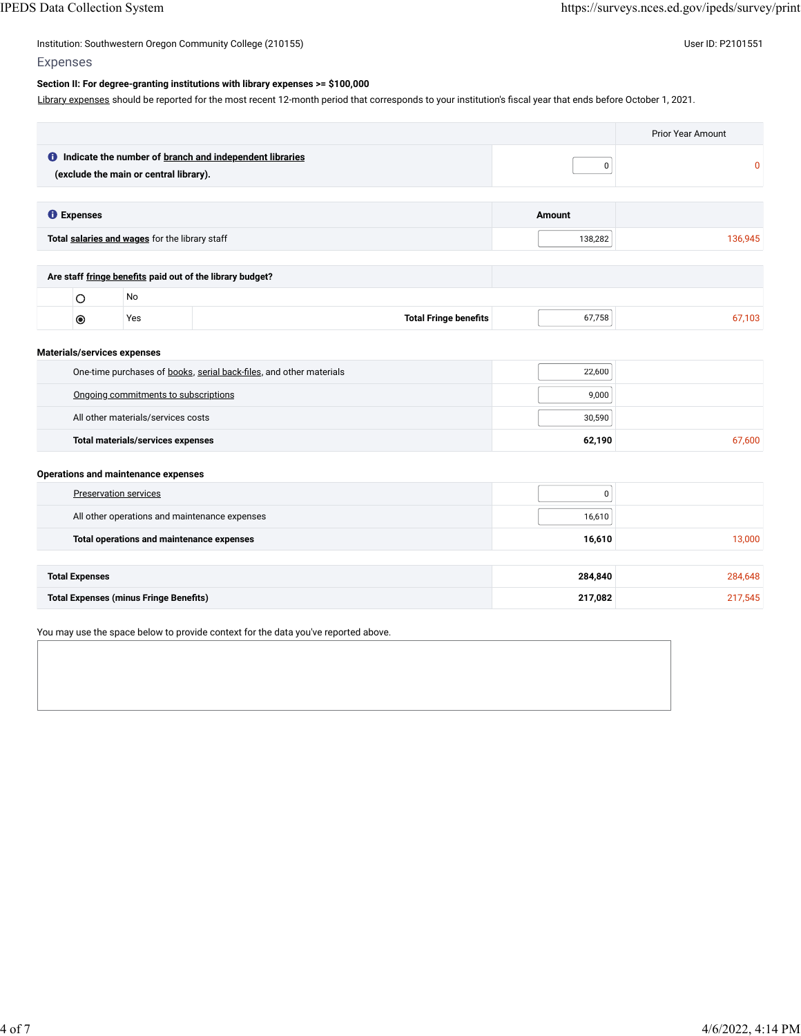## Institution: Southwestern Oregon Community College (210155) Contract the USE of Discovery of the USE of Discovery User ID: P2101551

## Expenses

#### **Section II: For degree-granting institutions with library expenses >= \$100,000**

[Library expenses](javascript:openglossary(1040)) should be reported for the most recent 12-month period that corresponds to your institution's fiscal year that ends before October 1, 2021.

|                   |                                                |                                                                  |               | <b>Prior Year Amount</b> |
|-------------------|------------------------------------------------|------------------------------------------------------------------|---------------|--------------------------|
|                   | (exclude the main or central library).         | <b>O</b> Indicate the number of branch and independent libraries | 0             | $\mathbf{0}$             |
| <b>O</b> Expenses |                                                |                                                                  | <b>Amount</b> |                          |
|                   |                                                |                                                                  |               |                          |
|                   | Total salaries and wages for the library staff |                                                                  | 138,282       | 136,945                  |
|                   |                                                |                                                                  |               |                          |
|                   |                                                | Are staff fringe benefits paid out of the library budget?        |               |                          |
| Ο                 | No                                             |                                                                  |               |                          |
| $\circledcirc$    | Yes                                            | <b>Total Fringe benefits</b>                                     | 67,758        | 67,103                   |

#### **Materials/services expenses**

| One-time purchases of books, serial back-files, and other materials | 22.600 |        |
|---------------------------------------------------------------------|--------|--------|
| Ongoing commitments to subscriptions                                | 9.000  |        |
| All other materials/services costs                                  | 30.590 |        |
| Total materials/services expenses                                   | 62,190 | 67.600 |

#### **Operations and maintenance expenses**

| Preservation services                         | 0       |         |
|-----------------------------------------------|---------|---------|
| All other operations and maintenance expenses | 16,610  |         |
| Total operations and maintenance expenses     | 16,610  | 13,000  |
|                                               |         |         |
| <b>Total Expenses</b>                         | 284,840 | 284,648 |
| <b>Total Expenses (minus Fringe Benefits)</b> | 217,082 | 217,545 |

You may use the space below to provide context for the data you've reported above.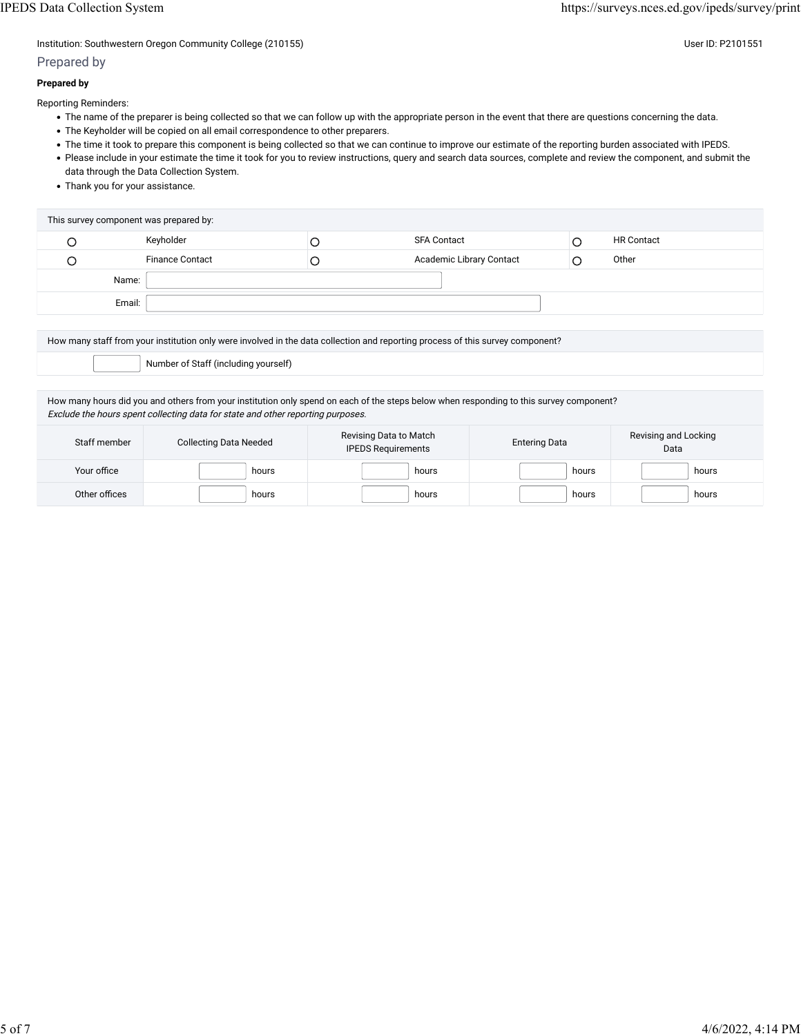Institution: Southwestern Oregon Community College (210155) Community College (210155)

## Prepared by

### **Prepared by**

Reporting Reminders:

- The name of the preparer is being collected so that we can follow up with the appropriate person in the event that there are questions concerning the data.
- The Keyholder will be copied on all email correspondence to other preparers.
- The time it took to prepare this component is being collected so that we can continue to improve our estimate of the reporting burden associated with IPEDS.
- Please include in your estimate the time it took for you to review instructions, query and search data sources, complete and review the component, and submit the data through the Data Collection System.
- Thank you for your assistance.

| This survey component was prepared by: |                        |   |                          |  |                   |
|----------------------------------------|------------------------|---|--------------------------|--|-------------------|
|                                        | Keyholder              | Ć | <b>SFA Contact</b>       |  | <b>HR Contact</b> |
|                                        | <b>Finance Contact</b> | C | Academic Library Contact |  | Other             |
| Name:                                  |                        |   |                          |  |                   |
| Email:                                 |                        |   |                          |  |                   |

How many staff from your institution only were involved in the data collection and reporting process of this survey component?

Number of Staff (including yourself)

How many hours did you and others from your institution only spend on each of the steps below when responding to this survey component? Exclude the hours spent collecting data for state and other reporting purposes.

| Staff member  | <b>Collecting Data Needed</b> | Revising Data to Match<br><b>IPEDS Requirements</b> | <b>Entering Data</b> | Revising and Locking<br>Data |  |
|---------------|-------------------------------|-----------------------------------------------------|----------------------|------------------------------|--|
| Your office   | hours                         | hours                                               | hours                | hours                        |  |
| Other offices | hours                         | hours                                               | hours                | hours                        |  |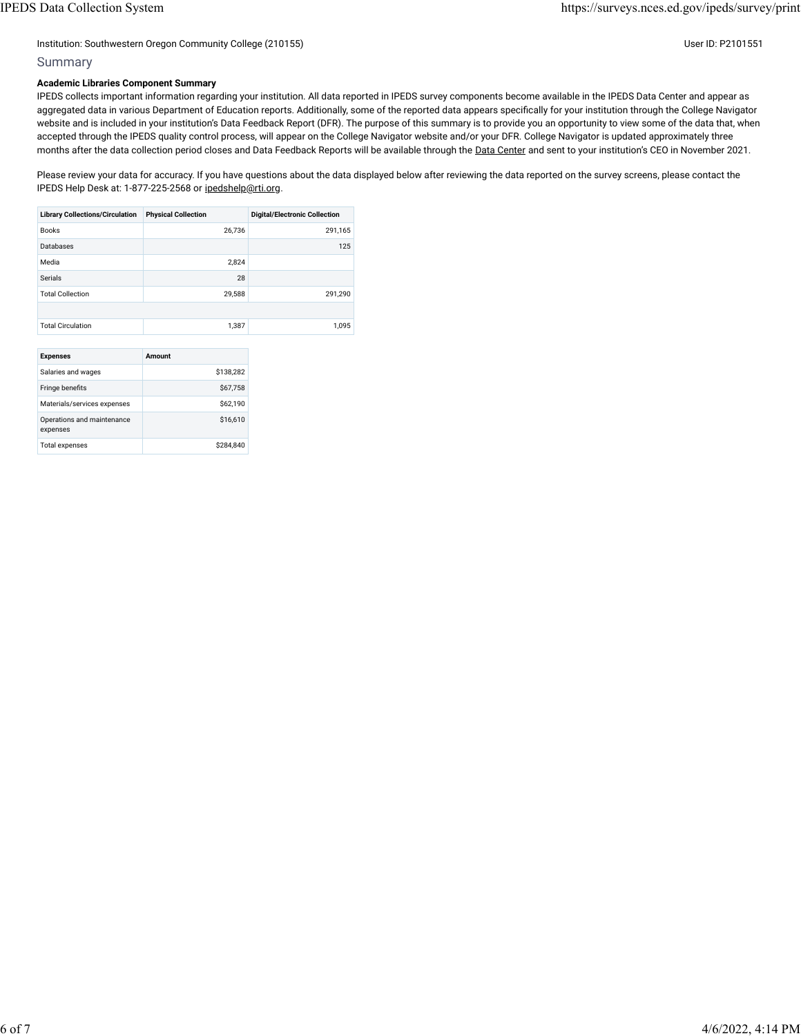#### Institution: Southwestern Oregon Community College (210155) User ID: P2101551

#### Summary

#### **Academic Libraries Component Summary**

IPEDS collects important information regarding your institution. All data reported in IPEDS survey components become available in the IPEDS Data Center and appear as aggregated data in various Department of Education reports. Additionally, some of the reported data appears specifically for your institution through the College Navigator website and is included in your institution's Data Feedback Report (DFR). The purpose of this summary is to provide you an opportunity to view some of the data that, when accepted through the IPEDS quality control process, will appear on the College Navigator website and/or your DFR. College Navigator is updated approximately three months after the data collection period closes and Data Feedback Reports will be available through the [Data Center](https://nces.ed.gov/ipeds/use-the-data) and sent to your institution's CEO in November 2021.

Please review your data for accuracy. If you have questions about the data displayed below after reviewing the data reported on the survey screens, please contact the IPEDS Help Desk at: 1-877-225-2568 or [ipedshelp@rti.org.](mailto:ipedshelp@rti.org)

| <b>Library Collections/Circulation</b> | <b>Physical Collection</b> | <b>Digital/Electronic Collection</b> |
|----------------------------------------|----------------------------|--------------------------------------|
| <b>Books</b>                           | 26.736                     | 291.165                              |
| Databases                              |                            | 125                                  |
| Media                                  | 2.824                      |                                      |
| Serials                                | 28                         |                                      |
| <b>Total Collection</b>                | 29.588                     | 291.290                              |
|                                        |                            |                                      |
| <b>Total Circulation</b>               | 1.387                      | 1.095                                |
|                                        |                            |                                      |

| <b>Expenses</b>                        | Amount    |
|----------------------------------------|-----------|
| Salaries and wages                     | \$138,282 |
| Fringe benefits                        | \$67.758  |
| Materials/services expenses            | \$62.190  |
| Operations and maintenance<br>expenses | \$16,610  |
| <b>Total expenses</b>                  | \$284.840 |